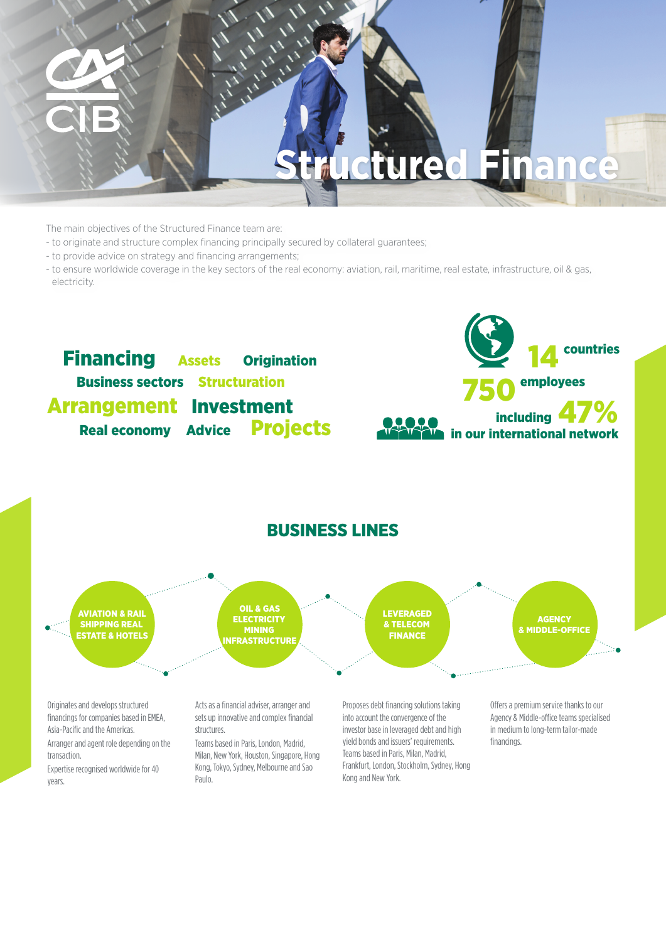

The main objectives of the Structured Finance team are:

- to originate and structure complex financing principally secured by collateral guarantees;
- to provide advice on strategy and financing arrangements;
- to ensure worldwide coverage in the key sectors of the real economy: aviation, rail, maritime, real estate, infrastructure, oil & gas, electricity.